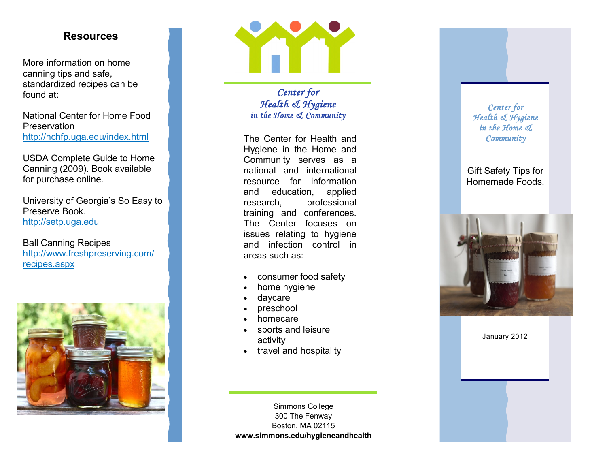## **Resources**

More information on home canning tips and safe, standardized recipes can be found at:

National Center for Home Food **Preservation** <http://nchfp.uga.edu/index.html>

 USDA Complete Guide to Home Canning (2009). Book available for purchase online.

Preserve Book. University of Georgia's So Easy to <http://setp.uga.edu>

Ball Canning Recipes <http://www.freshpreserving.com> / recipes.aspx





 *Center for Health & Hygiene in the Home & Community* 

 The Center for Health and Hygiene in the Home and and education, applied training and conferences. The Center focuses on issues relating to hygiene and infection control in Community serves as a national and international resource for information research, professional areas such as:

- consumer food safety
- home hygiene
- daycare
- preschool
- homecare
- sports and leisure activity
- travel and hospitality

Simmons College 300 The Fenway Boston, MA 02115 **<www.simmons.edu/hygieneandhealth>**

### *Center for Health & Hygiene in the Home & Community*

### Gift Safety Tips for Homemade Foods.



January 2012